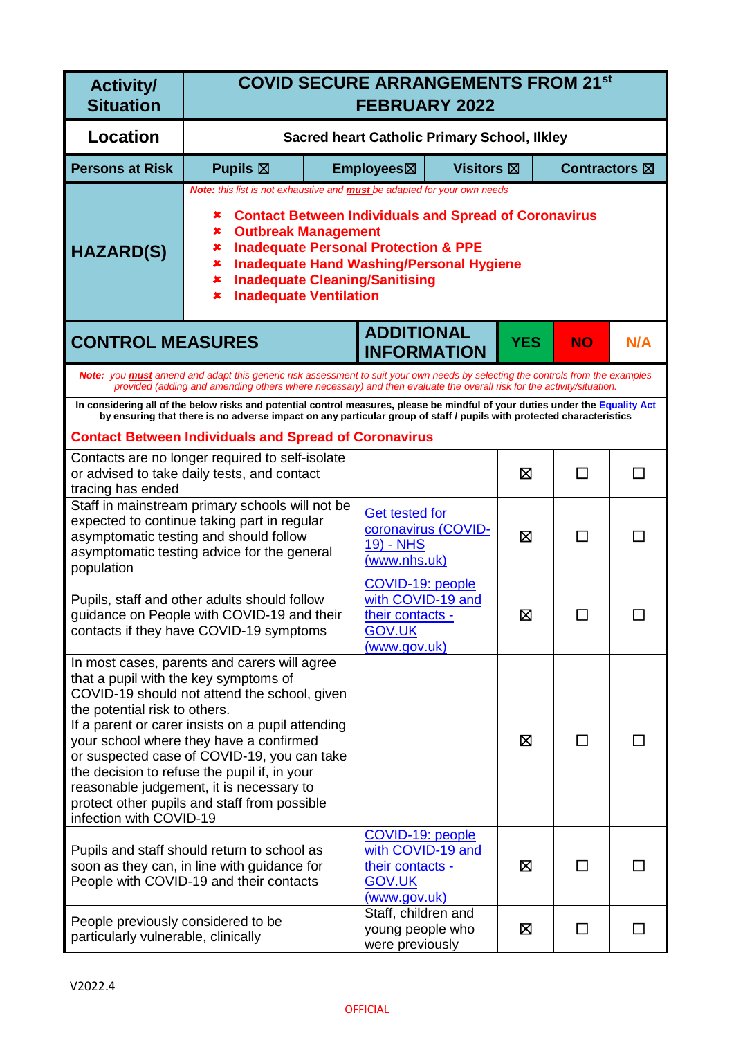| <b>Activity/</b><br><b>Situation</b>                                                              | <b>COVID SECURE ARRANGEMENTS FROM 21st</b><br><b>FEBRUARY 2022</b>                                                                                                                                                                                                                                                                                                                          |                                                     |                                                                                                   |                     |            |           |     |
|---------------------------------------------------------------------------------------------------|---------------------------------------------------------------------------------------------------------------------------------------------------------------------------------------------------------------------------------------------------------------------------------------------------------------------------------------------------------------------------------------------|-----------------------------------------------------|---------------------------------------------------------------------------------------------------|---------------------|------------|-----------|-----|
| <b>Location</b>                                                                                   |                                                                                                                                                                                                                                                                                                                                                                                             | <b>Sacred heart Catholic Primary School, Ilkley</b> |                                                                                                   |                     |            |           |     |
| <b>Persons at Risk</b>                                                                            | Pupils $\boxtimes$<br>Employees⊠<br><b>Visitors</b> ⊠<br><b>Contractors</b> ⊠                                                                                                                                                                                                                                                                                                               |                                                     |                                                                                                   |                     |            |           |     |
| <b>HAZARD(S)</b>                                                                                  | Note: this list is not exhaustive and <b>must</b> be adapted for your own needs<br><b>Contact Between Individuals and Spread of Coronavirus</b><br>×<br>×<br><b>Outbreak Management</b><br><b>Inadequate Personal Protection &amp; PPE</b><br>×<br><b>Inadequate Hand Washing/Personal Hygiene</b><br>×<br><b>Inadequate Cleaning/Sanitising</b><br>×<br><b>Inadequate Ventilation</b><br>× |                                                     |                                                                                                   |                     |            |           |     |
| <b>CONTROL MEASURES</b>                                                                           |                                                                                                                                                                                                                                                                                                                                                                                             |                                                     | <b>ADDITIONAL</b><br><b>INFORMATION</b>                                                           |                     | <b>YES</b> | <b>NO</b> | N/A |
|                                                                                                   | Note: you must amend and adapt this generic risk assessment to suit your own needs by selecting the controls from the examples<br>provided (adding and amending others where necessary) and then evaluate the overall risk for the activity/situation.                                                                                                                                      |                                                     |                                                                                                   |                     |            |           |     |
|                                                                                                   | In considering all of the below risks and potential control measures, please be mindful of your duties under the Equality Act<br>by ensuring that there is no adverse impact on any particular group of staff / pupils with protected characteristics                                                                                                                                       |                                                     |                                                                                                   |                     |            |           |     |
|                                                                                                   | <b>Contact Between Individuals and Spread of Coronavirus</b>                                                                                                                                                                                                                                                                                                                                |                                                     |                                                                                                   |                     |            |           |     |
| tracing has ended                                                                                 | Contacts are no longer required to self-isolate<br>or advised to take daily tests, and contact                                                                                                                                                                                                                                                                                              |                                                     |                                                                                                   |                     | ⊠          | □         | П   |
| population                                                                                        | Staff in mainstream primary schools will not be<br>expected to continue taking part in regular<br>asymptomatic testing and should follow<br>asymptomatic testing advice for the general                                                                                                                                                                                                     |                                                     | <b>Get tested for</b><br><b>19) - NHS</b><br>(www.nhs.uk)                                         | coronavirus (COVID- | ⊠          | ΙI        |     |
|                                                                                                   | Pupils, staff and other adults should follow<br>guidance on People with COVID-19 and their<br>contacts if they have COVID-19 symptoms                                                                                                                                                                                                                                                       |                                                     | COVID-19: people<br>with COVID-19 and<br>their contacts -<br><b>GOV.UK</b><br>(www.gov.uk)        |                     | ⊠          |           |     |
| that a pupil with the key symptoms of<br>the potential risk to others.<br>infection with COVID-19 | In most cases, parents and carers will agree<br>COVID-19 should not attend the school, given<br>If a parent or carer insists on a pupil attending<br>your school where they have a confirmed<br>or suspected case of COVID-19, you can take<br>the decision to refuse the pupil if, in your<br>reasonable judgement, it is necessary to<br>protect other pupils and staff from possible     |                                                     |                                                                                                   |                     | ⊠          | П         |     |
|                                                                                                   | Pupils and staff should return to school as<br>soon as they can, in line with guidance for<br>People with COVID-19 and their contacts                                                                                                                                                                                                                                                       |                                                     | COVID-19: people<br>with COVID-19 and<br>their contacts -<br><b>GOV.UK</b><br><u>(www.gov.uk)</u> |                     | ⊠          | П         |     |
| People previously considered to be<br>particularly vulnerable, clinically                         |                                                                                                                                                                                                                                                                                                                                                                                             |                                                     | Staff, children and<br>young people who<br>were previously                                        |                     | ⊠          | П         |     |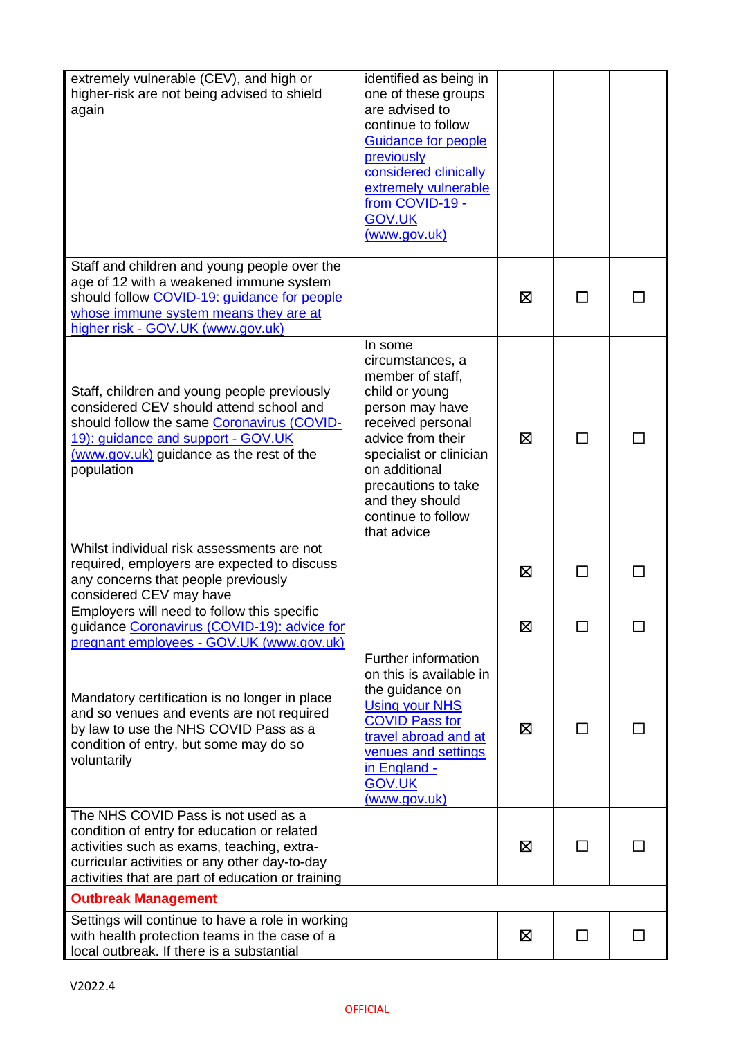| extremely vulnerable (CEV), and high or<br>higher-risk are not being advised to shield<br>again                                                                                                                                        | identified as being in<br>one of these groups<br>are advised to<br>continue to follow<br><b>Guidance for people</b><br>previously<br>considered clinically<br>extremely vulnerable<br>from COVID-19 -<br><b>GOV.UK</b><br>(www.gov.uk)                    |   |               |  |
|----------------------------------------------------------------------------------------------------------------------------------------------------------------------------------------------------------------------------------------|-----------------------------------------------------------------------------------------------------------------------------------------------------------------------------------------------------------------------------------------------------------|---|---------------|--|
| Staff and children and young people over the<br>age of 12 with a weakened immune system<br>should follow COVID-19: guidance for people<br>whose immune system means they are at<br>higher risk - GOV.UK (www.gov.uk)                   |                                                                                                                                                                                                                                                           | ⊠ |               |  |
| Staff, children and young people previously<br>considered CEV should attend school and<br>should follow the same Coronavirus (COVID-<br>19): guidance and support - GOV.UK<br>(www.gov.uk) guidance as the rest of the<br>population   | In some<br>circumstances, a<br>member of staff,<br>child or young<br>person may have<br>received personal<br>advice from their<br>specialist or clinician<br>on additional<br>precautions to take<br>and they should<br>continue to follow<br>that advice | ⊠ |               |  |
| Whilst individual risk assessments are not<br>required, employers are expected to discuss<br>any concerns that people previously<br>considered CEV may have                                                                            |                                                                                                                                                                                                                                                           | ⊠ |               |  |
| Employers will need to follow this specific<br>guidance Coronavirus (COVID-19): advice for<br>pregnant employees - GOV.UK (www.gov.uk)                                                                                                 |                                                                                                                                                                                                                                                           | 区 |               |  |
| Mandatory certification is no longer in place<br>and so venues and events are not required<br>by law to use the NHS COVID Pass as a<br>condition of entry, but some may do so<br>voluntarily                                           | Further information<br>on this is available in<br>the guidance on<br><b>Using your NHS</b><br><b>COVID Pass for</b><br>travel abroad and at<br>venues and settings<br>in England -<br><b>GOV.UK</b><br>(www.gov.uk)                                       | ⊠ | ΙI            |  |
| The NHS COVID Pass is not used as a<br>condition of entry for education or related<br>activities such as exams, teaching, extra-<br>curricular activities or any other day-to-day<br>activities that are part of education or training |                                                                                                                                                                                                                                                           | ⊠ | $\mathcal{L}$ |  |
| <b>Outbreak Management</b>                                                                                                                                                                                                             |                                                                                                                                                                                                                                                           |   |               |  |
| Settings will continue to have a role in working<br>with health protection teams in the case of a<br>local outbreak. If there is a substantial                                                                                         |                                                                                                                                                                                                                                                           | ⊠ | $\Box$        |  |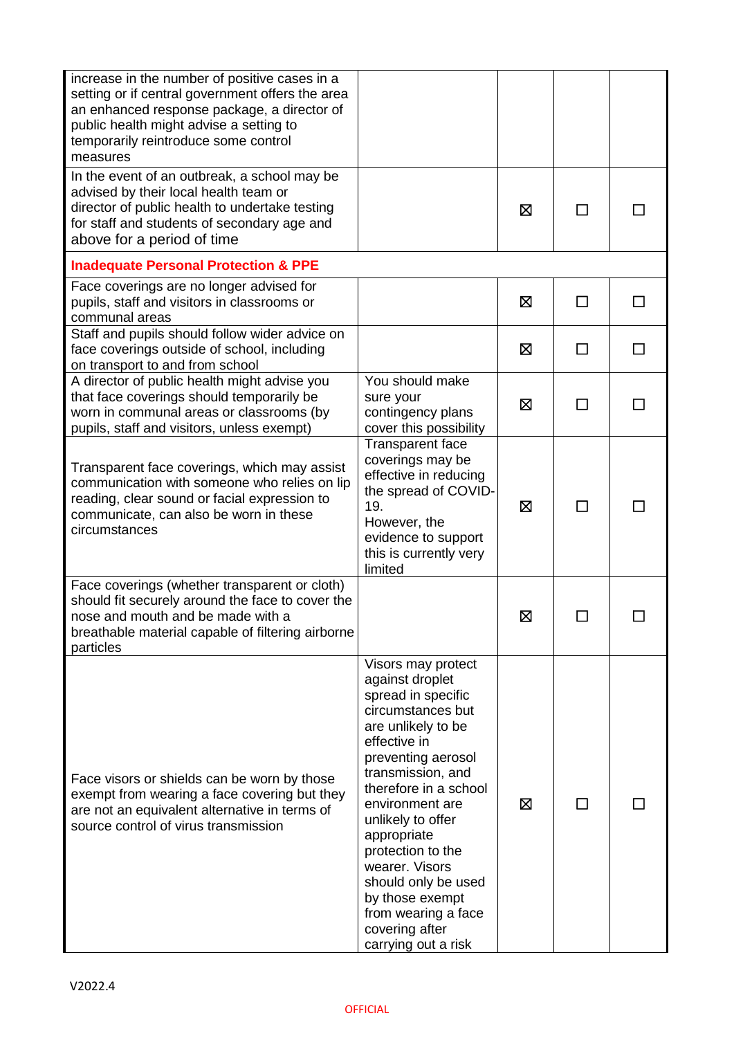| increase in the number of positive cases in a<br>setting or if central government offers the area<br>an enhanced response package, a director of<br>public health might advise a setting to<br>temporarily reintroduce some control<br>measures |                                                                                                                                                                                                                                                                                                                                                                                                    |   |              |  |
|-------------------------------------------------------------------------------------------------------------------------------------------------------------------------------------------------------------------------------------------------|----------------------------------------------------------------------------------------------------------------------------------------------------------------------------------------------------------------------------------------------------------------------------------------------------------------------------------------------------------------------------------------------------|---|--------------|--|
| In the event of an outbreak, a school may be<br>advised by their local health team or<br>director of public health to undertake testing<br>for staff and students of secondary age and<br>above for a period of time                            |                                                                                                                                                                                                                                                                                                                                                                                                    | ⊠ |              |  |
| <b>Inadequate Personal Protection &amp; PPE</b>                                                                                                                                                                                                 |                                                                                                                                                                                                                                                                                                                                                                                                    |   |              |  |
| Face coverings are no longer advised for<br>pupils, staff and visitors in classrooms or<br>communal areas                                                                                                                                       |                                                                                                                                                                                                                                                                                                                                                                                                    | 区 | П            |  |
| Staff and pupils should follow wider advice on<br>face coverings outside of school, including<br>on transport to and from school                                                                                                                |                                                                                                                                                                                                                                                                                                                                                                                                    | ⊠ |              |  |
| A director of public health might advise you<br>that face coverings should temporarily be<br>worn in communal areas or classrooms (by<br>pupils, staff and visitors, unless exempt)                                                             | You should make<br>sure your<br>contingency plans<br>cover this possibility                                                                                                                                                                                                                                                                                                                        | ⊠ | □            |  |
| Transparent face coverings, which may assist<br>communication with someone who relies on lip<br>reading, clear sound or facial expression to<br>communicate, can also be worn in these<br>circumstances                                         | <b>Transparent face</b><br>coverings may be<br>effective in reducing<br>the spread of COVID-<br>19.<br>However, the<br>evidence to support<br>this is currently very<br>limited                                                                                                                                                                                                                    | ⊠ | $\mathsf{L}$ |  |
| Face coverings (whether transparent or cloth)<br>should fit securely around the face to cover the<br>nose and mouth and be made with a<br>breathable material capable of filtering airborne<br>particles                                        |                                                                                                                                                                                                                                                                                                                                                                                                    | ⊠ |              |  |
| Face visors or shields can be worn by those<br>exempt from wearing a face covering but they<br>are not an equivalent alternative in terms of<br>source control of virus transmission                                                            | Visors may protect<br>against droplet<br>spread in specific<br>circumstances but<br>are unlikely to be<br>effective in<br>preventing aerosol<br>transmission, and<br>therefore in a school<br>environment are<br>unlikely to offer<br>appropriate<br>protection to the<br>wearer. Visors<br>should only be used<br>by those exempt<br>from wearing a face<br>covering after<br>carrying out a risk | ⊠ | $\mathsf{L}$ |  |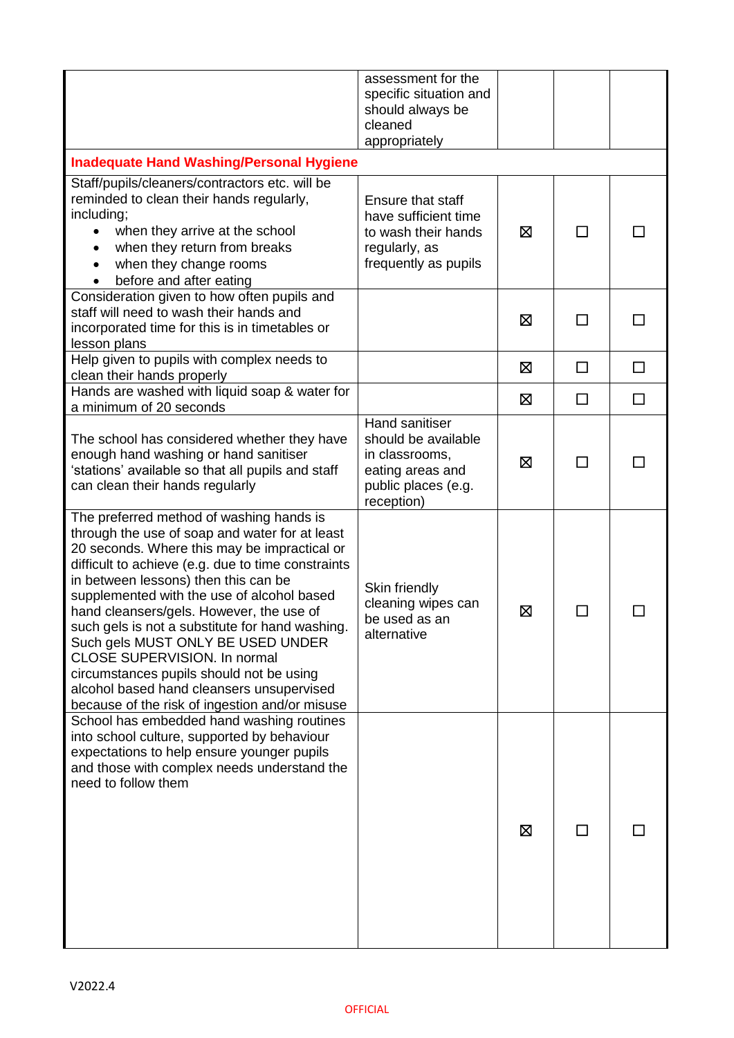|                                                                                                                                                                                                                                                                                                                                                                                                                                                                                                                                                                                                              | assessment for the<br>specific situation and<br>should always be<br>cleaned<br>appropriately                            |   |        |        |
|--------------------------------------------------------------------------------------------------------------------------------------------------------------------------------------------------------------------------------------------------------------------------------------------------------------------------------------------------------------------------------------------------------------------------------------------------------------------------------------------------------------------------------------------------------------------------------------------------------------|-------------------------------------------------------------------------------------------------------------------------|---|--------|--------|
| <b>Inadequate Hand Washing/Personal Hygiene</b>                                                                                                                                                                                                                                                                                                                                                                                                                                                                                                                                                              |                                                                                                                         |   |        |        |
| Staff/pupils/cleaners/contractors etc. will be<br>reminded to clean their hands regularly,<br>including;<br>when they arrive at the school<br>when they return from breaks<br>$\bullet$<br>when they change rooms<br>$\bullet$<br>before and after eating                                                                                                                                                                                                                                                                                                                                                    | Ensure that staff<br>have sufficient time<br>to wash their hands<br>regularly, as<br>frequently as pupils               | ⊠ | П      |        |
| Consideration given to how often pupils and<br>staff will need to wash their hands and<br>incorporated time for this is in timetables or<br>lesson plans                                                                                                                                                                                                                                                                                                                                                                                                                                                     |                                                                                                                         | ⊠ | $\Box$ |        |
| Help given to pupils with complex needs to<br>clean their hands properly                                                                                                                                                                                                                                                                                                                                                                                                                                                                                                                                     |                                                                                                                         | ⊠ | □      | $\Box$ |
| Hands are washed with liquid soap & water for<br>a minimum of 20 seconds                                                                                                                                                                                                                                                                                                                                                                                                                                                                                                                                     |                                                                                                                         | ⊠ | □      | $\Box$ |
| The school has considered whether they have<br>enough hand washing or hand sanitiser<br>'stations' available so that all pupils and staff<br>can clean their hands regularly                                                                                                                                                                                                                                                                                                                                                                                                                                 | <b>Hand sanitiser</b><br>should be available<br>in classrooms,<br>eating areas and<br>public places (e.g.<br>reception) | ⊠ | П      |        |
| The preferred method of washing hands is<br>through the use of soap and water for at least<br>20 seconds. Where this may be impractical or<br>difficult to achieve (e.g. due to time constraints<br>in between lessons) then this can be<br>supplemented with the use of alcohol based<br>hand cleansers/gels. However, the use of<br>such gels is not a substitute for hand washing.<br>Such gels MUST ONLY BE USED UNDER<br><b>CLOSE SUPERVISION. In normal</b><br>circumstances pupils should not be using<br>alcohol based hand cleansers unsupervised<br>because of the risk of ingestion and/or misuse | Skin friendly<br>cleaning wipes can<br>be used as an<br>alternative                                                     | 区 |        |        |
| School has embedded hand washing routines<br>into school culture, supported by behaviour<br>expectations to help ensure younger pupils<br>and those with complex needs understand the<br>need to follow them                                                                                                                                                                                                                                                                                                                                                                                                 |                                                                                                                         | ⊠ |        |        |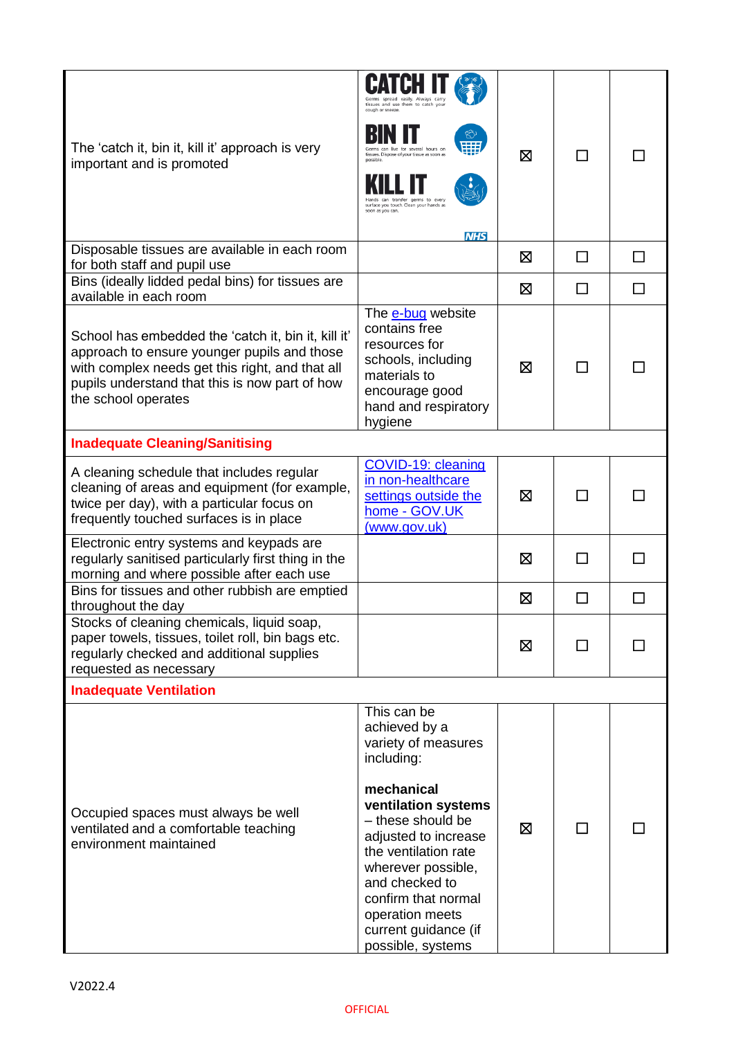| The 'catch it, bin it, kill it' approach is very                                                                                                                                                                               | Germs spread easily. Always carr<br>tissues and use them to catch you<br>cough or sneeze.<br>for several hours or                                                                                                                                             |   |              |    |
|--------------------------------------------------------------------------------------------------------------------------------------------------------------------------------------------------------------------------------|---------------------------------------------------------------------------------------------------------------------------------------------------------------------------------------------------------------------------------------------------------------|---|--------------|----|
| important and is promoted                                                                                                                                                                                                      | tissues. Dispose of your tissue as soon as<br>ands can transfer germs to every<br>surface you touch. Clean your hands as<br>soon as you can.<br><b>NHS</b>                                                                                                    | ⊠ |              |    |
| Disposable tissues are available in each room<br>for both staff and pupil use                                                                                                                                                  |                                                                                                                                                                                                                                                               | ⊠ | П            | ΙI |
| Bins (ideally lidded pedal bins) for tissues are<br>available in each room                                                                                                                                                     |                                                                                                                                                                                                                                                               | ⊠ | ┌            |    |
| School has embedded the 'catch it, bin it, kill it'<br>approach to ensure younger pupils and those<br>with complex needs get this right, and that all<br>pupils understand that this is now part of how<br>the school operates | The e-bug website<br>contains free<br>resources for<br>schools, including<br>materials to<br>encourage good<br>hand and respiratory<br>hygiene                                                                                                                | ⊠ |              |    |
| <b>Inadequate Cleaning/Sanitising</b>                                                                                                                                                                                          |                                                                                                                                                                                                                                                               |   |              |    |
| A cleaning schedule that includes regular<br>cleaning of areas and equipment (for example,<br>twice per day), with a particular focus on<br>frequently touched surfaces is in place                                            | COVID-19: cleaning<br>in non-healthcare<br>settings outside the<br>home - GOV.UK<br>(www.gov.uk)                                                                                                                                                              | ⊠ |              |    |
| Electronic entry systems and keypads are<br>regularly sanitised particularly first thing in the<br>morning and where possible after each use                                                                                   |                                                                                                                                                                                                                                                               | ⊠ | $\mathbf{I}$ |    |
| Bins for tissues and other rubbish are emptied<br>throughout the day                                                                                                                                                           |                                                                                                                                                                                                                                                               | ⊠ |              |    |
| Stocks of cleaning chemicals, liquid soap,<br>paper towels, tissues, toilet roll, bin bags etc.<br>regularly checked and additional supplies<br>requested as necessary                                                         |                                                                                                                                                                                                                                                               | ⊠ | ΙI           |    |
| <b>Inadequate Ventilation</b>                                                                                                                                                                                                  |                                                                                                                                                                                                                                                               |   |              |    |
| Occupied spaces must always be well<br>ventilated and a comfortable teaching<br>environment maintained                                                                                                                         | This can be<br>achieved by a<br>variety of measures<br>including:<br>mechanical<br>ventilation systems<br>- these should be<br>adjusted to increase<br>the ventilation rate<br>wherever possible,<br>and checked to<br>confirm that normal<br>operation meets | ⊠ |              |    |
|                                                                                                                                                                                                                                | current guidance (if<br>possible, systems                                                                                                                                                                                                                     |   |              |    |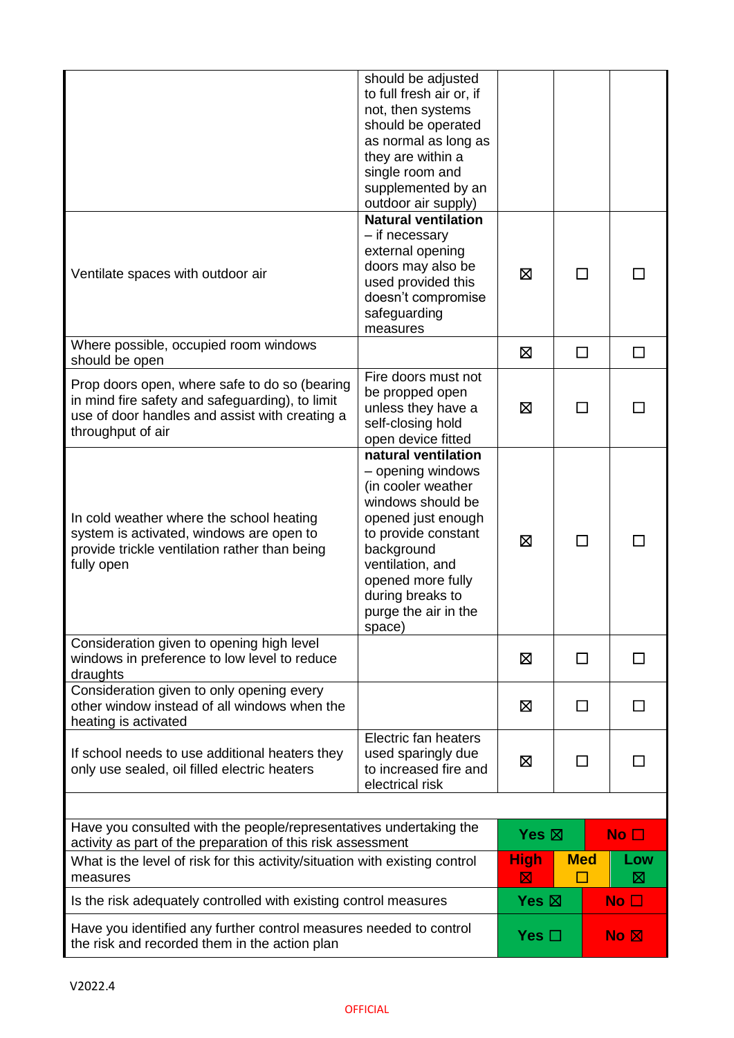|                                                                                                                                                                         | should be adjusted<br>to full fresh air or, if<br>not, then systems<br>should be operated<br>as normal as long as<br>they are within a<br>single room and<br>supplemented by an<br>outdoor air supply)                                        |                   |            |                 |                 |
|-------------------------------------------------------------------------------------------------------------------------------------------------------------------------|-----------------------------------------------------------------------------------------------------------------------------------------------------------------------------------------------------------------------------------------------|-------------------|------------|-----------------|-----------------|
| Ventilate spaces with outdoor air                                                                                                                                       | <b>Natural ventilation</b><br>- if necessary<br>external opening<br>doors may also be<br>used provided this<br>doesn't compromise<br>safeguarding<br>measures                                                                                 | ⊠                 | П          |                 |                 |
| Where possible, occupied room windows<br>should be open                                                                                                                 |                                                                                                                                                                                                                                               | ⊠                 | □          |                 | $\Box$          |
| Prop doors open, where safe to do so (bearing<br>in mind fire safety and safeguarding), to limit<br>use of door handles and assist with creating a<br>throughput of air | Fire doors must not<br>be propped open<br>unless they have a<br>self-closing hold<br>open device fitted                                                                                                                                       | ⊠                 | ΙI         |                 |                 |
| In cold weather where the school heating<br>system is activated, windows are open to<br>provide trickle ventilation rather than being<br>fully open                     | natural ventilation<br>- opening windows<br>(in cooler weather<br>windows should be<br>opened just enough<br>to provide constant<br>background<br>ventilation, and<br>opened more fully<br>during breaks to<br>purge the air in the<br>space) | ⊠                 | ΙI         |                 |                 |
| Consideration given to opening high level<br>windows in preference to low level to reduce<br>draughts                                                                   |                                                                                                                                                                                                                                               | ⊠                 | $\perp$    |                 | $\mathsf{L}$    |
| Consideration given to only opening every<br>other window instead of all windows when the<br>heating is activated                                                       |                                                                                                                                                                                                                                               | ⊠<br>$\mathsf{L}$ |            | ΙI              |                 |
| If school needs to use additional heaters they<br>only use sealed, oil filled electric heaters                                                                          | Electric fan heaters<br>used sparingly due<br>to increased fire and<br>electrical risk                                                                                                                                                        | 区<br>ΙI           |            |                 |                 |
|                                                                                                                                                                         |                                                                                                                                                                                                                                               |                   |            |                 |                 |
| Have you consulted with the people/representatives undertaking the<br>activity as part of the preparation of this risk assessment                                       |                                                                                                                                                                                                                                               | Yes $\boxtimes$   |            |                 | No <sub>1</sub> |
| What is the level of risk for this activity/situation with existing control<br>measures                                                                                 |                                                                                                                                                                                                                                               | <b>High</b><br>⊠  | <b>Med</b> |                 | Low<br>⊠        |
| Is the risk adequately controlled with existing control measures                                                                                                        |                                                                                                                                                                                                                                               | Yes $\boxtimes$   |            |                 | No $\square$    |
| Have you identified any further control measures needed to control<br>the risk and recorded them in the action plan                                                     |                                                                                                                                                                                                                                               | Yes $\square$     |            | No <sub>N</sub> |                 |